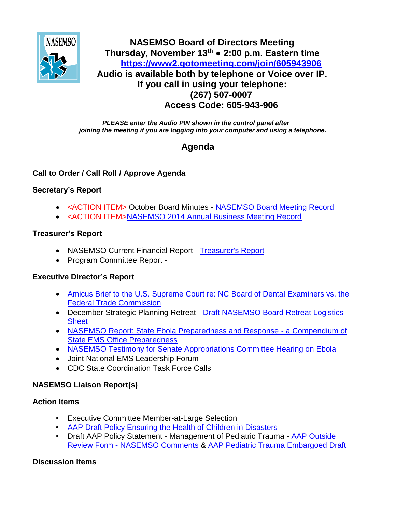

## **NASEMSO Board of Directors Meeting Thursday, November 13th ● 2:00 p.m. Eastern time <https://www2.gotomeeting.com/join/605943906> Audio is available both by telephone or Voice over IP. If you call in using your telephone: (267) 507-0007 Access Code: 605-943-906**

*PLEASE enter the Audio PIN shown in the control panel after joining the meeting if you are logging into your computer and using a telephone.*

# **Agenda**

## **Call to Order / Call Roll / Approve Agenda**

## **Secretary's Report**

- <ACTION ITEM> October Board Minutes [NASEMSO Board Meeting Record](https://www.nasemso.org/Members/Board/documents/NASEMSO-Board-Minutes-06Oct2014.pdf)
- <ACTION ITEM>NASEMSO 2014 Annual Business Meeting Record

## **Treasurer's Report**

- NASEMSO Current Financial Report [Treasurer's Report](https://www.nasemso.org/Members/Board/documents/NASEMSO-Treasurers-Report-31Oct2014.xls)
- Program Committee Report -

## **Executive Director's Report**

- Amicus Brief to the U.S. Supreme Court re: NC Board of Dental Examiners vs. the Federal Trade Commission
- December Strategic Planning Retreat Draft NASEMSO Board Retreat Logistics **Sheet**
- NASEMSO Report: State Ebola Preparedness and Response a Compendium of State EMS Office Preparedness
- [NASEMSO Testimony for Senate Appropriations Committee Hearing on Ebola](https://www.nasemso.org/Members/Board/documents/Senate-Approp-Statement-on-Ebola-from-NASEMSO.pdf)
- Joint National EMS Leadership Forum
- CDC State Coordination Task Force Calls

## **NASEMSO Liaison Report(s)**

#### **Action Items**

- Executive Committee Member-at-Large Selection
- [AAP Draft Policy Ensuring the Health of Children in Disasters](https://www.nasemso.org/Members/Board/documents/AAP-Draft-Policy-Ensuring-Health-of-Children-in-Disasters-03Nov2014.pdf)
- Draft AAP Policy Statement Management of Pediatric Trauma AAP Outside Review Form - NASEMSO Comments & [AAP Pediatric Trauma Embargoed Draft](https://www.nasemso.org/Members/Board/documents/AAP-Pediatric-Trauma-Embargoed-Draft-Sept2014.pdf)

## **Discussion Items**